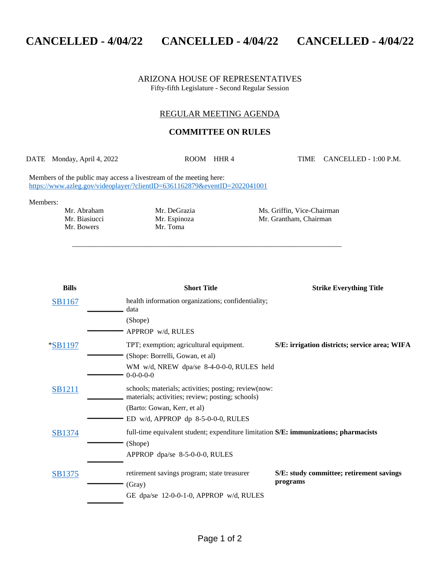## **CANCELLED - 4/04/22 CANCELLED - 4/04/22 CANCELLED - 4/04/22**

ARIZONA HOUSE OF REPRESENTATIVES Fifty-fifth Legislature - Second Regular Session

## REGULAR MEETING AGENDA

## **COMMITTEE ON RULES**

\_\_\_\_\_\_\_\_\_\_\_\_\_\_\_\_\_\_\_\_\_\_\_\_\_\_\_\_\_\_\_\_\_\_\_\_\_\_\_\_\_\_\_\_\_\_\_\_\_\_\_\_\_\_\_\_\_\_\_\_\_\_\_\_\_\_\_\_\_\_\_\_\_\_\_

DATE Monday, April 4, 2022 ROOM HHR 4 TIME CANCELLED - 1:00 P.M.

Members of the public may access a livestream of the meeting here: <https://www.azleg.gov/videoplayer/?clientID=6361162879&eventID=2022041001>

Members:

Mr. Bowers

Mr. Abraham Mr. DeGrazia Ms. Griffin, Vice-Chairman Mr. Biasiucci Mr. Espinoza Mr. Grantham, Chairman Mr. Bowers Mr. Toma

| <b>Bills</b>  | <b>Short Title</b>                                                                                                                   | <b>Strike Everything Title</b>                       |
|---------------|--------------------------------------------------------------------------------------------------------------------------------------|------------------------------------------------------|
| <b>SB1167</b> | health information organizations; confidentiality;<br>data                                                                           |                                                      |
|               | (Shope)<br>APPROP w/d, RULES                                                                                                         |                                                      |
| *SB1197       | TPT; exemption; agricultural equipment.<br>(Shope: Borrelli, Gowan, et al)                                                           | S/E: irrigation districts; service area; WIFA        |
|               | WM w/d, NREW dpa/se 8-4-0-0-0, RULES held<br>$0 - 0 - 0 - 0$                                                                         |                                                      |
| <b>SB1211</b> | schools; materials; activities; posting; review(now:<br>materials; activities; review; posting; schools)                             |                                                      |
|               | (Barto: Gowan, Kerr, et al)<br>ED w/d, APPROP dp 8-5-0-0-0, RULES                                                                    |                                                      |
| SB1374        | full-time equivalent student; expenditure limitation S/E: immunizations; pharmacists<br>(Shope)<br>APPROP dpa/se $8-5-0-0-0$ , RULES |                                                      |
| SB1375        | retirement savings program; state treasurer<br>(Gray)                                                                                | S/E: study committee; retirement savings<br>programs |
|               | GE dpa/se 12-0-0-1-0, APPROP w/d, RULES                                                                                              |                                                      |